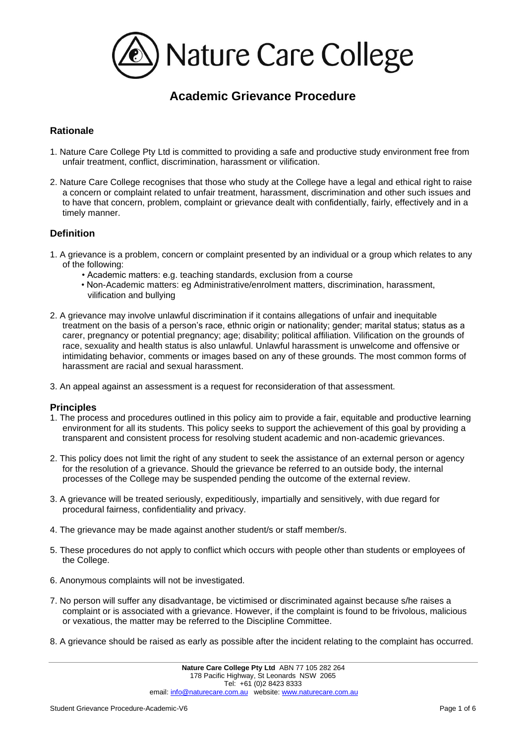

# **Academic Grievance Procedure**

# **Rationale**

- 1. Nature Care College Pty Ltd is committed to providing a safe and productive study environment free from unfair treatment, conflict, discrimination, harassment or vilification.
- 2. Nature Care College recognises that those who study at the College have a legal and ethical right to raise a concern or complaint related to unfair treatment, harassment, discrimination and other such issues and to have that concern, problem, complaint or grievance dealt with confidentially, fairly, effectively and in a timely manner.

### **Definition**

- 1. A grievance is a problem, concern or complaint presented by an individual or a group which relates to any of the following:
	- Academic matters: e.g. teaching standards, exclusion from a course
	- Non-Academic matters: eg Administrative/enrolment matters, discrimination, harassment, vilification and bullying
- 2. A grievance may involve unlawful discrimination if it contains allegations of unfair and inequitable treatment on the basis of a person's race, ethnic origin or nationality; gender; marital status; status as a carer, pregnancy or potential pregnancy; age; disability; political affiliation. Vilification on the grounds of race, sexuality and health status is also unlawful. Unlawful harassment is unwelcome and offensive or intimidating behavior, comments or images based on any of these grounds. The most common forms of harassment are racial and sexual harassment.
- 3. An appeal against an assessment is a request for reconsideration of that assessment.

### **Principles**

- 1. The process and procedures outlined in this policy aim to provide a fair, equitable and productive learning environment for all its students. This policy seeks to support the achievement of this goal by providing a transparent and consistent process for resolving student academic and non-academic grievances.
- 2. This policy does not limit the right of any student to seek the assistance of an external person or agency for the resolution of a grievance. Should the grievance be referred to an outside body, the internal processes of the College may be suspended pending the outcome of the external review.
- 3. A grievance will be treated seriously, expeditiously, impartially and sensitively, with due regard for procedural fairness, confidentiality and privacy.
- 4. The grievance may be made against another student/s or staff member/s.
- 5. These procedures do not apply to conflict which occurs with people other than students or employees of the College.
- 6. Anonymous complaints will not be investigated.
- 7. No person will suffer any disadvantage, be victimised or discriminated against because s/he raises a complaint or is associated with a grievance. However, if the complaint is found to be frivolous, malicious or vexatious, the matter may be referred to the Discipline Committee.
- 8. A grievance should be raised as early as possible after the incident relating to the complaint has occurred.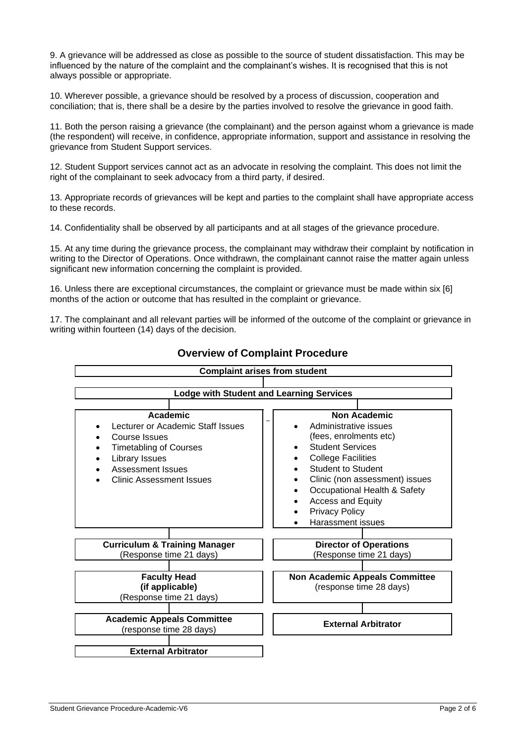9. A grievance will be addressed as close as possible to the source of student dissatisfaction. This may be influenced by the nature of the complaint and the complainant's wishes. It is recognised that this is not always possible or appropriate.

10. Wherever possible, a grievance should be resolved by a process of discussion, cooperation and conciliation; that is, there shall be a desire by the parties involved to resolve the grievance in good faith.

11. Both the person raising a grievance (the complainant) and the person against whom a grievance is made (the respondent) will receive, in confidence, appropriate information, support and assistance in resolving the grievance from Student Support services.

12. Student Support services cannot act as an advocate in resolving the complaint. This does not limit the right of the complainant to seek advocacy from a third party, if desired.

13. Appropriate records of grievances will be kept and parties to the complaint shall have appropriate access to these records.

14. Confidentiality shall be observed by all participants and at all stages of the grievance procedure.

15. At any time during the grievance process, the complainant may withdraw their complaint by notification in writing to the Director of Operations. Once withdrawn, the complainant cannot raise the matter again unless significant new information concerning the complaint is provided.

16. Unless there are exceptional circumstances, the complaint or grievance must be made within six [6] months of the action or outcome that has resulted in the complaint or grievance.

17. The complainant and all relevant parties will be informed of the outcome of the complaint or grievance in writing within fourteen (14) days of the decision.



# **Overview of Complaint Procedure**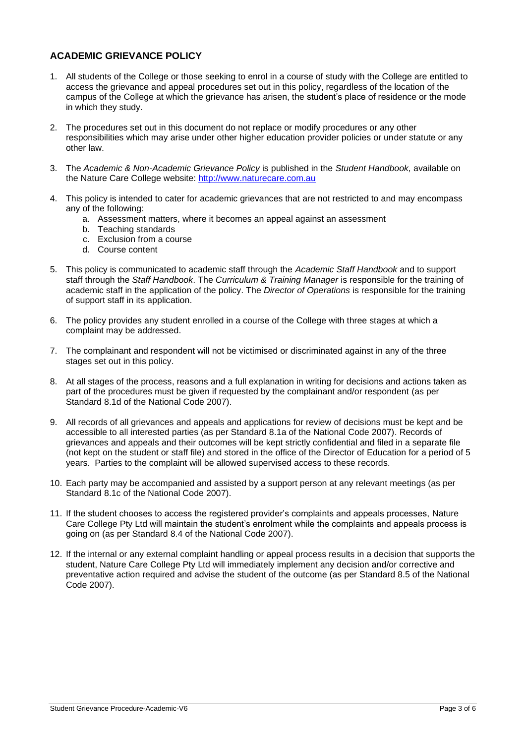# **ACADEMIC GRIEVANCE POLICY**

- 1. All students of the College or those seeking to enrol in a course of study with the College are entitled to access the grievance and appeal procedures set out in this policy, regardless of the location of the campus of the College at which the grievance has arisen, the student's place of residence or the mode in which they study.
- 2. The procedures set out in this document do not replace or modify procedures or any other responsibilities which may arise under other higher education provider policies or under statute or any other law.
- 3. The *Academic & Non-Academic Grievance Policy* is published in the *Student Handbook,* available on the Nature Care College website: [http://www.naturecare.com.au](http://www.naturecare.com.au/)
- 4. This policy is intended to cater for academic grievances that are not restricted to and may encompass any of the following:
	- a. Assessment matters, where it becomes an appeal against an assessment
	- b. Teaching standards
	- c. Exclusion from a course
	- d. Course content
- 5. This policy is communicated to academic staff through the *Academic Staff Handbook* and to support staff through the *Staff Handbook*. The *Curriculum & Training Manager* is responsible for the training of academic staff in the application of the policy. The *Director of Operations* is responsible for the training of support staff in its application.
- 6. The policy provides any student enrolled in a course of the College with three stages at which a complaint may be addressed.
- 7. The complainant and respondent will not be victimised or discriminated against in any of the three stages set out in this policy.
- 8. At all stages of the process, reasons and a full explanation in writing for decisions and actions taken as part of the procedures must be given if requested by the complainant and/or respondent (as per Standard 8.1d of the National Code 2007).
- 9. All records of all grievances and appeals and applications for review of decisions must be kept and be accessible to all interested parties (as per Standard 8.1a of the National Code 2007). Records of grievances and appeals and their outcomes will be kept strictly confidential and filed in a separate file (not kept on the student or staff file) and stored in the office of the Director of Education for a period of 5 years. Parties to the complaint will be allowed supervised access to these records.
- 10. Each party may be accompanied and assisted by a support person at any relevant meetings (as per Standard 8.1c of the National Code 2007).
- 11. If the student chooses to access the registered provider's complaints and appeals processes, Nature Care College Pty Ltd will maintain the student's enrolment while the complaints and appeals process is going on (as per Standard 8.4 of the National Code 2007).
- 12. If the internal or any external complaint handling or appeal process results in a decision that supports the student, Nature Care College Pty Ltd will immediately implement any decision and/or corrective and preventative action required and advise the student of the outcome (as per Standard 8.5 of the National Code 2007).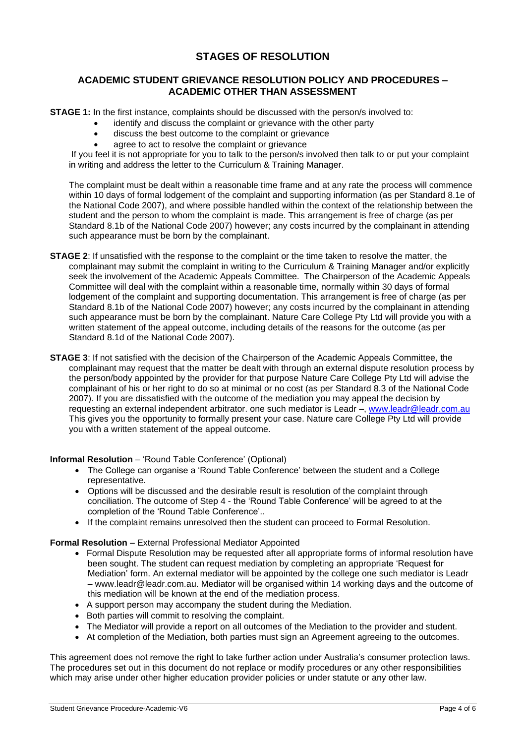# **STAGES OF RESOLUTION**

## **ACADEMIC STUDENT GRIEVANCE RESOLUTION POLICY AND PROCEDURES – ACADEMIC OTHER THAN ASSESSMENT**

**STAGE 1:** In the first instance, complaints should be discussed with the person/s involved to:

- identify and discuss the complaint or grievance with the other party
- discuss the best outcome to the complaint or grievance
- agree to act to resolve the complaint or grievance

If you feel it is not appropriate for you to talk to the person/s involved then talk to or put your complaint in writing and address the letter to the Curriculum & Training Manager.

The complaint must be dealt within a reasonable time frame and at any rate the process will commence within 10 days of formal lodgement of the complaint and supporting information (as per Standard 8.1e of the National Code 2007), and where possible handled within the context of the relationship between the student and the person to whom the complaint is made. This arrangement is free of charge (as per Standard 8.1b of the National Code 2007) however; any costs incurred by the complainant in attending such appearance must be born by the complainant.

- **STAGE 2**: If unsatisfied with the response to the complaint or the time taken to resolve the matter, the complainant may submit the complaint in writing to the Curriculum & Training Manager and/or explicitly seek the involvement of the Academic Appeals Committee. The Chairperson of the Academic Appeals Committee will deal with the complaint within a reasonable time, normally within 30 days of formal lodgement of the complaint and supporting documentation. This arrangement is free of charge (as per Standard 8.1b of the National Code 2007) however; any costs incurred by the complainant in attending such appearance must be born by the complainant. Nature Care College Pty Ltd will provide you with a written statement of the appeal outcome, including details of the reasons for the outcome (as per Standard 8.1d of the National Code 2007).
- **STAGE 3**: If not satisfied with the decision of the Chairperson of the Academic Appeals Committee, the complainant may request that the matter be dealt with through an external dispute resolution process by the person/body appointed by the provider for that purpose Nature Care College Pty Ltd will advise the complainant of his or her right to do so at minimal or no cost (as per Standard 8.3 of the National Code 2007). If you are dissatisfied with the outcome of the mediation you may appeal the decision by requesting an external independent arbitrator. one such mediator is Leadr –, www.leadr@leadr.com.au This gives you the opportunity to formally present your case. Nature care College Pty Ltd will provide you with a written statement of the appeal outcome.

**Informal Resolution** – 'Round Table Conference' (Optional)

- The College can organise a 'Round Table Conference' between the student and a College representative.
- Options will be discussed and the desirable result is resolution of the complaint through conciliation. The outcome of Step 4 - the 'Round Table Conference' will be agreed to at the completion of the 'Round Table Conference'..
- If the complaint remains unresolved then the student can proceed to Formal Resolution.

**Formal Resolution** – External Professional Mediator Appointed

- Formal Dispute Resolution may be requested after all appropriate forms of informal resolution have been sought. The student can request mediation by completing an appropriate 'Request for Mediation' form. An external mediator will be appointed by the college one such mediator is Leadr – www.leadr@leadr.com.au. Mediator will be organised within 14 working days and the outcome of this mediation will be known at the end of the mediation process.
- A support person may accompany the student during the Mediation.
- Both parties will commit to resolving the complaint.
- The Mediator will provide a report on all outcomes of the Mediation to the provider and student.
- At completion of the Mediation, both parties must sign an Agreement agreeing to the outcomes.

This agreement does not remove the right to take further action under Australia's consumer protection laws. The procedures set out in this document do not replace or modify procedures or any other responsibilities which may arise under other higher education provider policies or under statute or any other law.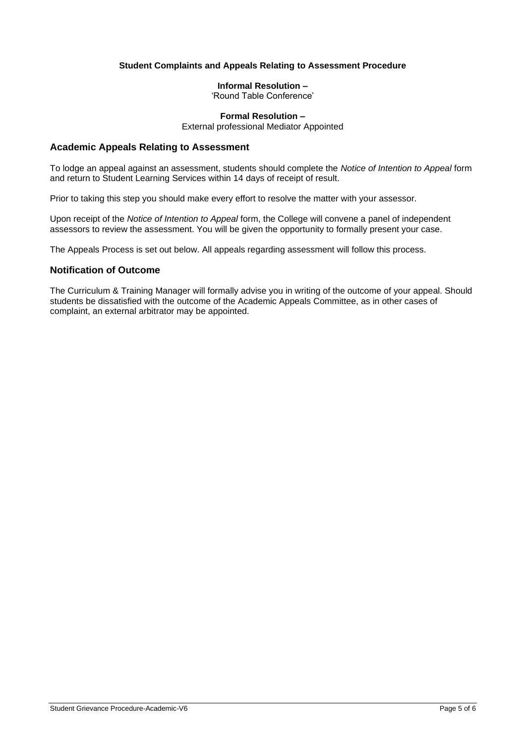### **Student Complaints and Appeals Relating to Assessment Procedure**

### **Informal Resolution –**

'Round Table Conference'

# **Formal Resolution –**

External professional Mediator Appointed

#### **Academic Appeals Relating to Assessment**

To lodge an appeal against an assessment, students should complete the *Notice of Intention to Appeal* form and return to Student Learning Services within 14 days of receipt of result.

Prior to taking this step you should make every effort to resolve the matter with your assessor.

Upon receipt of the *Notice of Intention to Appeal* form, the College will convene a panel of independent assessors to review the assessment. You will be given the opportunity to formally present your case.

The Appeals Process is set out below. All appeals regarding assessment will follow this process.

## **Notification of Outcome**

The Curriculum & Training Manager will formally advise you in writing of the outcome of your appeal. Should students be dissatisfied with the outcome of the Academic Appeals Committee, as in other cases of complaint, an external arbitrator may be appointed.